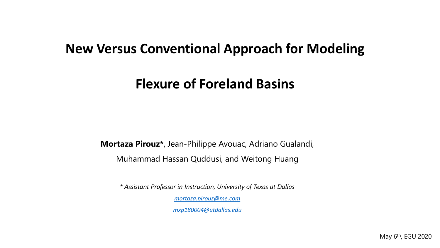## **New Versus Conventional Approach for Modeling**

# **Flexure of Foreland Basins**

**Mortaza Pirouz\***, Jean-Philippe Avouac, Adriano Gualandi,

Muhammad Hassan Quddusi, and Weitong Huang

*\* Assistant Professor in Instruction, University of Texas at Dallas* 

*[mortaza.pirouz@me.com](mailto:mortaza.Pirouz@me.com)*

*[mxp180004@utdallas.edu](mailto:mxp180004@utdallas.edu)*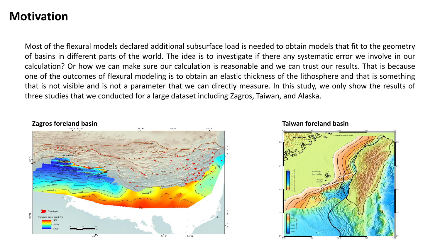#### **Motivation**

Most of the flexural models declared additional subsurface load is needed to obtain models that fit to the geometry of basins in different parts of the world. The idea is to investigate if there any systematic error we involve in our calculation? Or how we can make sure our calculation is reasonable and we can trust our results. That is because one of the outcomes of flexural modeling is to obtain an elastic thickness of the lithosphere and that is something that is not visible and is not a parameter that we can directly measure. In this study, we only show the results of three studies that we conducted for a large dataset including Zagros, Taiwan, and Alaska.



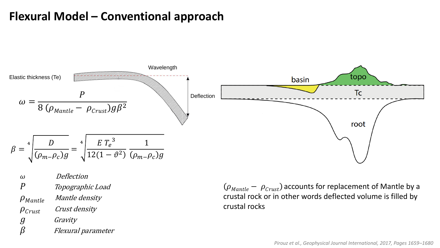## **Flexural Model – Conventional approach**



 Deflection P Topographic Load  $\rho_{Mantle}$  Mantle density  $\rho_{\text{Crust}}$  Crust density g Gravity<br> $\beta$  Flexural Flexural parameter

 $(\rho_{\text{Mantle}} - \rho_{\text{Crust}})$  accounts for replacement of Mantle by a crustal rock or in other words deflected volume is filled by crustal rocks

*Pirouz et al., Geophysical Journal International, 2017, Pages 1659–1680*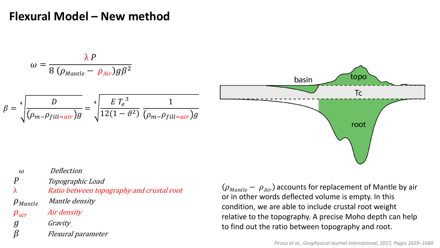### **Flexural Model – New method**

$$
\omega = \frac{\lambda P}{8 (\rho_{Mantle} - \rho_{Air}) g \beta^2}
$$

$$
\beta = \sqrt[4]{\frac{D}{(\rho_m - \rho_{fill=air})g}} = \sqrt[4]{\frac{E T_e^3}{12(1 - \vartheta^2)} \frac{1}{(\rho_m - \rho_{fill=air})g}}
$$



 Deflection P Topographic Load λ Ratio between topography and crustal root  $\rho_{Mantle}$  Mantle density  $\rho_{air}$  Air density g Gravity<br> $\beta$  Flexural Flexural parameter

 $(\rho_{\text{Mantle}} - \rho_{\text{Air}})$  accounts for replacement of Mantle by air or in other words deflected volume is empty. In this condition, we are able to include crustal root weight relative to the topography. A precise Moho depth can help to find out the ratio between topography and root.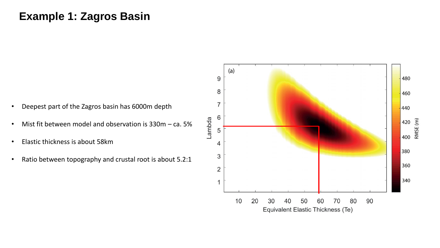#### **Example 1: Zagros Basin**

- Deepest part of the Zagros basin has 6000m depth
- Mist fit between model and observation is  $330m ca$ . 5%
- Elastic thickness is about 58km
- Ratio between topography and crustal root is about 5.2:1

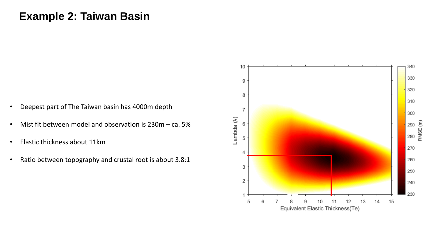#### **Example 2: Taiwan Basin**

- Deepest part of The Taiwan basin has 4000m depth
- Mist fit between model and observation is 230m ca. 5%
- Elastic thickness about 11km
- Ratio between topography and crustal root is about 3.8:1

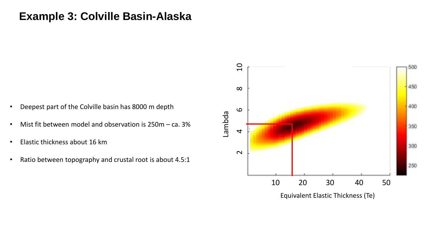#### **Example 3: Colville Basin-Alaska**

- Deepest part of the Colville basin has 8000 m depth
- Mist fit between model and observation is 250m ca. 3%
- Elastic thickness about 16 km
- Ratio between topography and crustal root is about 4.5:1